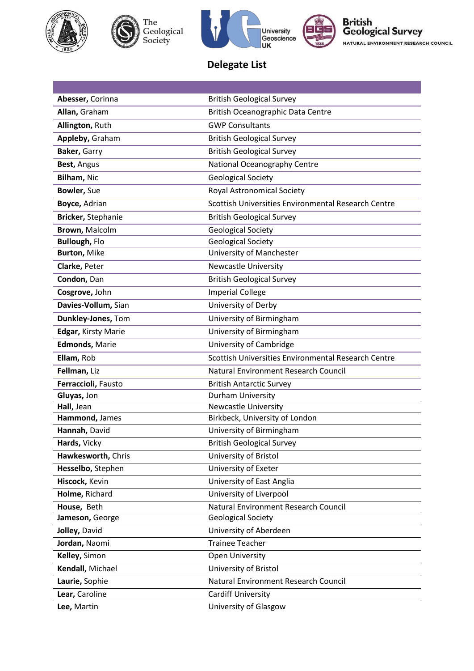





British<br>Geological Survey NATURAL ENVIRONMENT RESEARCH COUNCIL

## **Delegate List**

| Abesser, Corinna      | <b>British Geological Survey</b>                    |
|-----------------------|-----------------------------------------------------|
| Allan, Graham         | British Oceanographic Data Centre                   |
| Allington, Ruth       | <b>GWP Consultants</b>                              |
| Appleby, Graham       | <b>British Geological Survey</b>                    |
| Baker, Garry          | <b>British Geological Survey</b>                    |
| Best, Angus           | National Oceanography Centre                        |
| Bilham, Nic           | <b>Geological Society</b>                           |
| Bowler, Sue           | Royal Astronomical Society                          |
| Boyce, Adrian         | Scottish Universities Environmental Research Centre |
| Bricker, Stephanie    | <b>British Geological Survey</b>                    |
| Brown, Malcolm        | <b>Geological Society</b>                           |
| <b>Bullough, Flo</b>  | <b>Geological Society</b>                           |
| <b>Burton, Mike</b>   | University of Manchester                            |
| Clarke, Peter         | <b>Newcastle University</b>                         |
| Condon, Dan           | <b>British Geological Survey</b>                    |
| Cosgrove, John        | <b>Imperial College</b>                             |
| Davies-Vollum, Sian   | University of Derby                                 |
| Dunkley-Jones, Tom    | University of Birmingham                            |
| Edgar, Kirsty Marie   | University of Birmingham                            |
| <b>Edmonds, Marie</b> | University of Cambridge                             |
| Ellam, Rob            | Scottish Universities Environmental Research Centre |
| Fellman, Liz          | Natural Environment Research Council                |
| Ferraccioli, Fausto   | <b>British Antarctic Survey</b>                     |
| Gluyas, Jon           | Durham University                                   |
| Hall, Jean            | <b>Newcastle University</b>                         |
| Hammond, James        | Birkbeck, University of London                      |
| Hannah, David         | University of Birmingham                            |
| Hards, Vicky          | <b>British Geological Survey</b>                    |
| Hawkesworth, Chris    | University of Bristol                               |
| Hesselbo, Stephen     | University of Exeter                                |
| Hiscock, Kevin        | University of East Anglia                           |
| Holme, Richard        | University of Liverpool                             |
| House, Beth           | Natural Environment Research Council                |
| Jameson, George       | <b>Geological Society</b>                           |
| Jolley, David         | University of Aberdeen                              |
| Jordan, Naomi         | <b>Trainee Teacher</b>                              |
| Kelley, Simon         | <b>Open University</b>                              |
| Kendall, Michael      | University of Bristol                               |
| Laurie, Sophie        | Natural Environment Research Council                |
| Lear, Caroline        | <b>Cardiff University</b>                           |
| Lee, Martin           | University of Glasgow                               |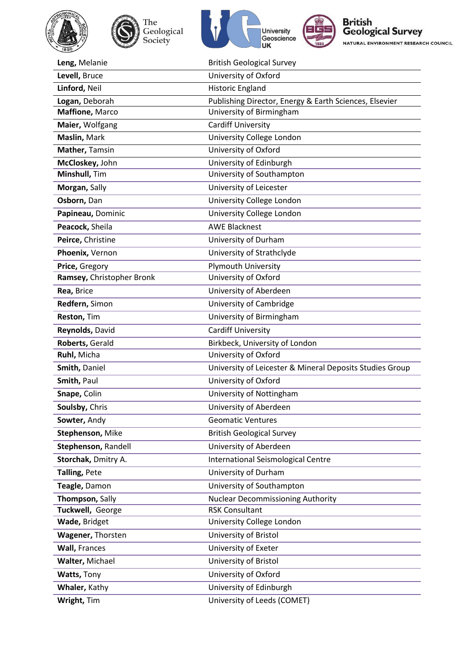





British<br>Geological Survey NATURAL ENVIRONMENT RESEARCH COUNCIL

| Leng, Melanie             | <b>British Geological Survey</b>                         |
|---------------------------|----------------------------------------------------------|
| Levell, Bruce             | University of Oxford                                     |
| Linford, Neil             | <b>Historic England</b>                                  |
| Logan, Deborah            | Publishing Director, Energy & Earth Sciences, Elsevier   |
| Maffione, Marco           | University of Birmingham                                 |
| Maier, Wolfgang           | <b>Cardiff University</b>                                |
| Maslin, Mark              | University College London                                |
| Mather, Tamsin            | University of Oxford                                     |
| McCloskey, John           | University of Edinburgh                                  |
| Minshull, Tim             | University of Southampton                                |
| Morgan, Sally             | University of Leicester                                  |
| Osborn, Dan               | University College London                                |
| Papineau, Dominic         | University College London                                |
| Peacock, Sheila           | <b>AWE Blacknest</b>                                     |
| Peirce, Christine         | University of Durham                                     |
| Phoenix, Vernon           | University of Strathclyde                                |
| Price, Gregory            | <b>Plymouth University</b>                               |
| Ramsey, Christopher Bronk | University of Oxford                                     |
| Rea, Brice                | University of Aberdeen                                   |
| Redfern, Simon            | University of Cambridge                                  |
| Reston, Tim               | University of Birmingham                                 |
| Reynolds, David           | <b>Cardiff University</b>                                |
| Roberts, Gerald           | Birkbeck, University of London                           |
| Ruhl, Micha               | University of Oxford                                     |
| Smith, Daniel             | University of Leicester & Mineral Deposits Studies Group |
| Smith, Paul               | University of Oxford                                     |
| Snape, Colin              | University of Nottingham                                 |
| Soulsby, Chris            | University of Aberdeen                                   |
| Sowter, Andy              | <b>Geomatic Ventures</b>                                 |
| Stephenson, Mike          | <b>British Geological Survey</b>                         |
| Stephenson, Randell       | University of Aberdeen                                   |
| Storchak, Dmitry A.       | International Seismological Centre                       |
| Talling, Pete             | University of Durham                                     |
| Teagle, Damon             | University of Southampton                                |
| Thompson, Sally           | <b>Nuclear Decommissioning Authority</b>                 |
| Tuckwell, George          | <b>RSK Consultant</b>                                    |
| Wade, Bridget             | University College London                                |
| Wagener, Thorsten         | University of Bristol                                    |
| <b>Wall, Frances</b>      | University of Exeter                                     |
| Walter, Michael           | University of Bristol                                    |
| Watts, Tony               | University of Oxford                                     |
| Whaler, Kathy             | University of Edinburgh                                  |
| Wright, Tim               | University of Leeds (COMET)                              |
|                           |                                                          |